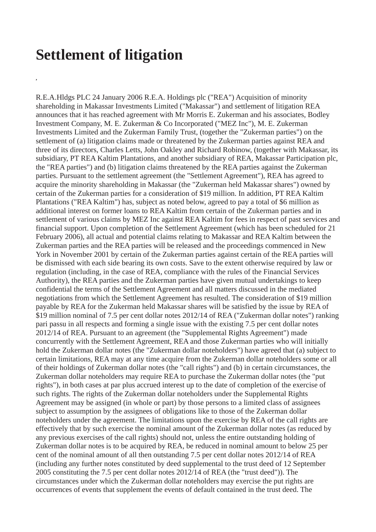## **Settlement of litigation**

**,**

R.E.A.Hldgs PLC 24 January 2006 R.E.A. Holdings plc ("REA") Acquisition of minority shareholding in Makassar Investments Limited ("Makassar") and settlement of litigation REA announces that it has reached agreement with Mr Morris E. Zukerman and his associates, Bodley Investment Company, M. E. Zukerman & Co Incorporated ("MEZ Inc"), M. E. Zukerman Investments Limited and the Zukerman Family Trust, (together the "Zukerman parties") on the settlement of (a) litigation claims made or threatened by the Zukerman parties against REA and three of its directors, Charles Letts, John Oakley and Richard Robinow, (together with Makassar, its subsidiary, PT REA Kaltim Plantations, and another subsidiary of REA, Makassar Participation plc, the "REA parties") and (b) litigation claims threatened by the REA parties against the Zukerman parties. Pursuant to the settlement agreement (the "Settlement Agreement"), REA has agreed to acquire the minority shareholding in Makassar (the "Zukerman held Makassar shares") owned by certain of the Zukerman parties for a consideration of \$19 million. In addition, PT REA Kaltim Plantations ("REA Kaltim") has, subject as noted below, agreed to pay a total of \$6 million as additional interest on former loans to REA Kaltim from certain of the Zukerman parties and in settlement of various claims by MEZ Inc against REA Kaltim for fees in respect of past services and financial support. Upon completion of the Settlement Agreement (which has been scheduled for 21 February 2006), all actual and potential claims relating to Makassar and REA Kaltim between the Zukerman parties and the REA parties will be released and the proceedings commenced in New York in November 2001 by certain of the Zukerman parties against certain of the REA parties will be dismissed with each side bearing its own costs. Save to the extent otherwise required by law or regulation (including, in the case of REA, compliance with the rules of the Financial Services Authority), the REA parties and the Zukerman parties have given mutual undertakings to keep confidential the terms of the Settlement Agreement and all matters discussed in the mediated negotiations from which the Settlement Agreement has resulted. The consideration of \$19 million payable by REA for the Zukerman held Makassar shares will be satisfied by the issue by REA of \$19 million nominal of 7.5 per cent dollar notes 2012/14 of REA ("Zukerman dollar notes") ranking pari passu in all respects and forming a single issue with the existing 7.5 per cent dollar notes 2012/14 of REA. Pursuant to an agreement (the "Supplemental Rights Agreement") made concurrently with the Settlement Agreement, REA and those Zukerman parties who will initially hold the Zukerman dollar notes (the "Zukerman dollar noteholders") have agreed that (a) subject to certain limitations, REA may at any time acquire from the Zukerman dollar noteholders some or all of their holdings of Zukerman dollar notes (the "call rights") and (b) in certain circumstances, the Zukerman dollar noteholders may require REA to purchase the Zukerman dollar notes (the "put rights"), in both cases at par plus accrued interest up to the date of completion of the exercise of such rights. The rights of the Zukerman dollar noteholders under the Supplemental Rights Agreement may be assigned (in whole or part) by those persons to a limited class of assignees subject to assumption by the assignees of obligations like to those of the Zukerman dollar noteholders under the agreement. The limitations upon the exercise by REA of the call rights are effectively that by such exercise the nominal amount of the Zukerman dollar notes (as reduced by any previous exercises of the call rights) should not, unless the entire outstanding holding of Zukerman dollar notes is to be acquired by REA, be reduced in nominal amount to below 25 per cent of the nominal amount of all then outstanding 7.5 per cent dollar notes 2012/14 of REA (including any further notes constituted by deed supplemental to the trust deed of 12 September 2005 constituting the 7.5 per cent dollar notes 2012/14 of REA (the "trust deed")). The circumstances under which the Zukerman dollar noteholders may exercise the put rights are occurrences of events that supplement the events of default contained in the trust deed. The